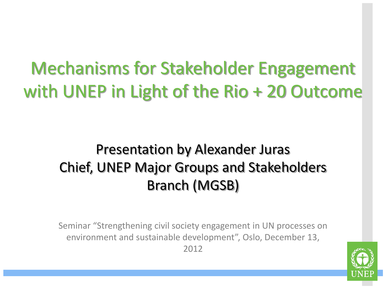### Mechanisms for Stakeholder Engagement with UNEP in Light of the Rio + 20 Outcome

### Presentation by Alexander Juras Chief, UNEP Major Groups and Stakeholders Branch (MGSB)

Seminar "Strengthening civil society engagement in UN processes on environment and sustainable development", Oslo, December 13, 2012

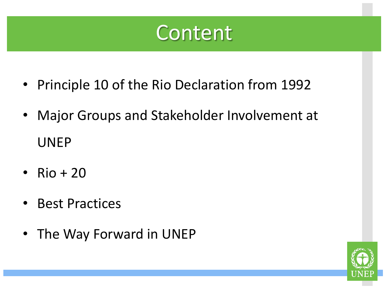### Content

- Principle 10 of the Rio Declaration from 1992
- Major Groups and Stakeholder Involvement at UNEP
- Rio +  $20$
- Best Practices
- The Way Forward in UNEP

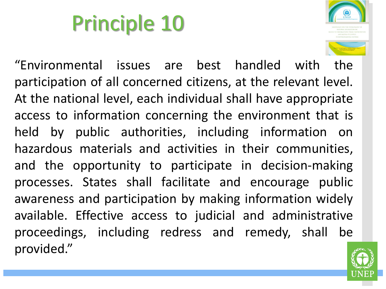# Principle 10



"Environmental issues are best handled with the participation of all concerned citizens, at the relevant level. At the national level, each individual shall have appropriate access to information concerning the environment that is held by public authorities, including information on hazardous materials and activities in their communities, and the opportunity to participate in decision-making processes. States shall facilitate and encourage public awareness and participation by making information widely available. Effective access to judicial and administrative proceedings, including redress and remedy, shall be provided."

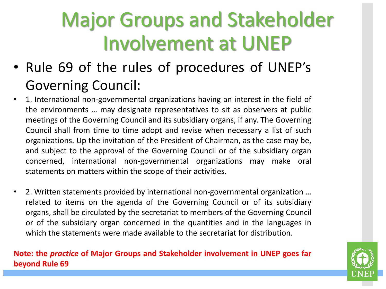### Major Groups and Stakeholder Involvement at UNEP

- Rule 69 of the rules of procedures of UNEP's Governing Council:
- 1. International non-governmental organizations having an interest in the field of the environments … may designate representatives to sit as observers at public meetings of the Governing Council and its subsidiary organs, if any. The Governing Council shall from time to time adopt and revise when necessary a list of such organizations. Up the invitation of the President of Chairman, as the case may be, and subject to the approval of the Governing Council or of the subsidiary organ concerned, international non-governmental organizations may make oral statements on matters within the scope of their activities.
- 2. Written statements provided by international non-governmental organization … related to items on the agenda of the Governing Council or of its subsidiary organs, shall be circulated by the secretariat to members of the Governing Council or of the subsidiary organ concerned in the quantities and in the languages in which the statements were made available to the secretariat for distribution.

#### **Note: the** *practice* **of Major Groups and Stakeholder involvement in UNEP goes far beyond Rule 69**

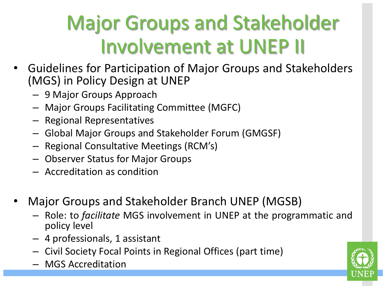## Major Groups and Stakeholder Involvement at UNEP II

- Guidelines for Participation of Major Groups and Stakeholders (MGS) in Policy Design at UNEP
	- 9 Major Groups Approach
	- Major Groups Facilitating Committee (MGFC)
	- Regional Representatives
	- Global Major Groups and Stakeholder Forum (GMGSF)
	- Regional Consultative Meetings (RCM's)
	- Observer Status for Major Groups
	- Accreditation as condition
- Major Groups and Stakeholder Branch UNEP (MGSB)
	- Role: to *facilitate* MGS involvement in UNEP at the programmatic and policy level
	- 4 professionals, 1 assistant
	- Civil Society Focal Points in Regional Offices (part time)
	- MGS Accreditation

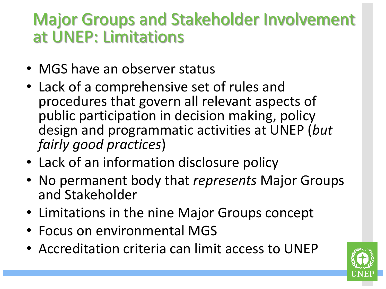### Major Groups and Stakeholder Involvement at UNEP: Limitations

- MGS have an observer status
- Lack of a comprehensive set of rules and procedures that govern all relevant aspects of public participation in decision making, policy design and programmatic activities at UNEP (*but fairly good practices*)
- Lack of an information disclosure policy
- No permanent body that *represents* Major Groups and Stakeholder
- Limitations in the nine Major Groups concept
- Focus on environmental MGS
- Accreditation criteria can limit access to UNEP

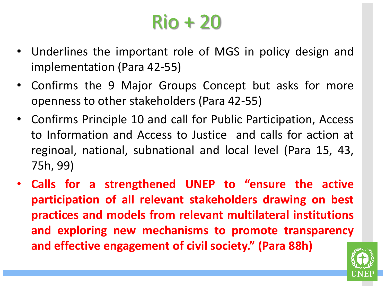### Rio + 20

- Underlines the important role of MGS in policy design and implementation (Para 42-55)
- Confirms the 9 Major Groups Concept but asks for more openness to other stakeholders (Para 42-55)
- Confirms Principle 10 and call for Public Participation, Access to Information and Access to Justice and calls for action at reginoal, national, subnational and local level (Para 15, 43, 75h, 99)
- **Calls for a strengthened UNEP to "ensure the active participation of all relevant stakeholders drawing on best practices and models from relevant multilateral institutions and exploring new mechanisms to promote transparency and effective engagement of civil society." (Para 88h)**

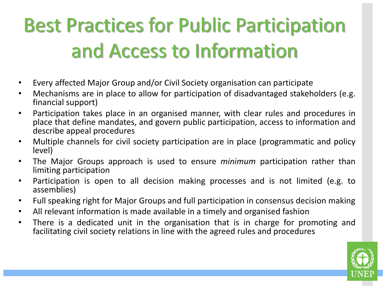## Best Practices for Public Participation and Access to Information

- Every affected Major Group and/or Civil Society organisation can participate
- Mechanisms are in place to allow for participation of disadvantaged stakeholders (e.g. financial support)
- Participation takes place in an organised manner, with clear rules and procedures in place that define mandates, and govern public participation, access to information and describe appeal procedures
- Multiple channels for civil society participation are in place (programmatic and policy level)
- The Major Groups approach is used to ensure *minimum* participation rather than limiting participation
- Participation is open to all decision making processes and is not limited (e.g. to assemblies)
- Full speaking right for Major Groups and full participation in consensus decision making
- All relevant information is made available in a timely and organised fashion
- There is a dedicated unit in the organisation that is in charge for promoting and facilitating civil society relations in line with the agreed rules and procedures

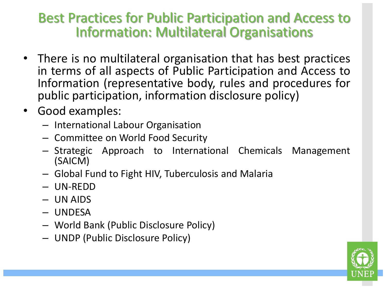#### Best Practices for Public Participation and Access to Information: Multilateral Organisations

- There is no multilateral organisation that has best practices in terms of all aspects of Public Participation and Access to Information (representative body, rules and procedures for public participation, information disclosure policy)
- Good examples:
	- International Labour Organisation
	- Committee on World Food Security
	- Strategic Approach to International Chemicals Management (SAICM)
	- Global Fund to Fight HIV, Tuberculosis and Malaria
	- UN-REDD
	- UN AIDS
	- UNDESA
	- World Bank (Public Disclosure Policy)
	- UNDP (Public Disclosure Policy)

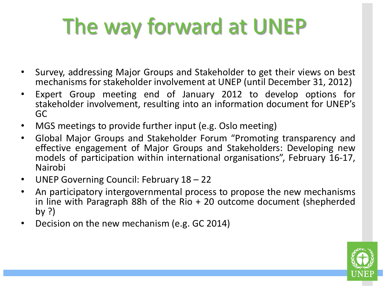# The way forward at UNEP

- Survey, addressing Major Groups and Stakeholder to get their views on best mechanisms for stakeholder involvement at UNEP (until December 31, 2012)
- Expert Group meeting end of January 2012 to develop options for stakeholder involvement, resulting into an information document for UNEP's GC
- MGS meetings to provide further input (e.g. Oslo meeting)
- Global Major Groups and Stakeholder Forum "Promoting transparency and effective engagement of Major Groups and Stakeholders: Developing new models of participation within international organisations", February 16-17, Nairobi
- UNEP Governing Council: February 18 22
- An participatory intergovernmental process to propose the new mechanisms in line with Paragraph 88h of the Rio + 20 outcome document (shepherded by ?)
- Decision on the new mechanism (e.g. GC 2014)

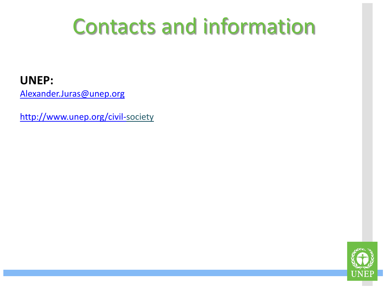## Contacts and information

#### **UNEP:**

[Alexander.Juras@unep.org](mailto:Alexander.Juras@unep.org)

[http://www.unep.org/civil-s](http://www.unep.org/civil-)ociety